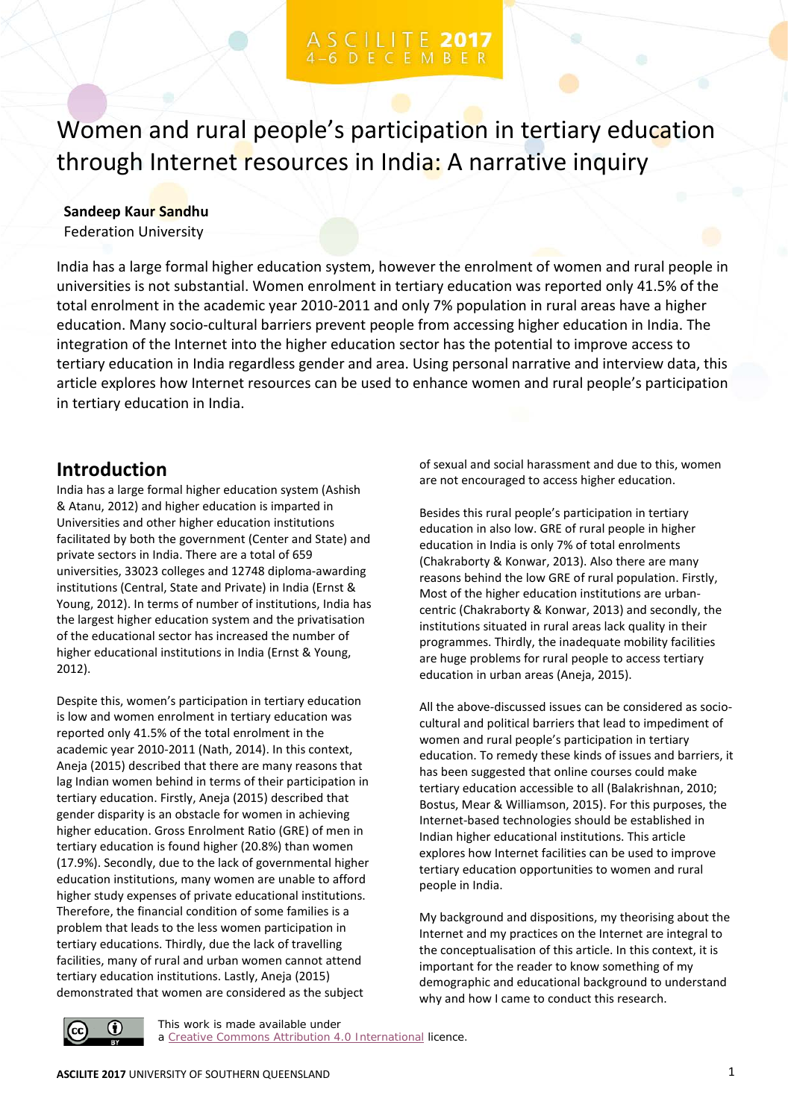Women and rural people's participation in tertiary education through Internet resources in India: A narrative inquiry

### **Sandeep Kaur Sandhu**

Federation University

India has a large formal higher education system, however the enrolment of women and rural people in universities is not substantial. Women enrolment in tertiary education was reported only 41.5% of the total enrolment in the academic year 2010-2011 and only 7% population in rural areas have a higher education. Many socio-cultural barriers prevent people from accessing higher education in India. The integration of the Internet into the higher education sector has the potential to improve access to tertiary education in India regardless gender and area. Using personal narrative and interview data, this article explores how Internet resources can be used to enhance women and rural people's participation in tertiary education in India.

## **Introduction**

India has a large formal higher education system (Ashish & Atanu, 2012) and higher education is imparted in Universities and other higher education institutions facilitated by both the government (Center and State) and private sectors in India. There are a total of 659 universities, 33023 colleges and 12748 diploma-awarding institutions (Central, State and Private) in India (Ernst & Young, 2012). In terms of number of institutions, India has the largest higher education system and the privatisation of the educational sector has increased the number of higher educational institutions in India (Ernst & Young, 2012).

Despite this, women's participation in tertiary education is low and women enrolment in tertiary education was reported only 41.5% of the total enrolment in the academic year 2010-2011 (Nath, 2014). In this context, Aneja (2015) described that there are many reasons that lag Indian women behind in terms of their participation in tertiary education. Firstly, Aneja (2015) described that gender disparity is an obstacle for women in achieving higher education. Gross Enrolment Ratio (GRE) of men in tertiary education is found higher (20.8%) than women (17.9%). Secondly, due to the lack of governmental higher education institutions, many women are unable to afford higher study expenses of private educational institutions. Therefore, the financial condition of some families is a problem that leads to the less women participation in tertiary educations. Thirdly, due the lack of travelling facilities, many of rural and urban women cannot attend tertiary education institutions. Lastly, Aneja (2015) demonstrated that women are considered as the subject

of sexual and social harassment and due to this, women are not encouraged to access higher education.

Besides this rural people's participation in tertiary education in also low. GRE of rural people in higher education in India is only 7% of total enrolments (Chakraborty & Konwar, 2013). Also there are many reasons behind the low GRE of rural population. Firstly, Most of the higher education institutions are urbancentric (Chakraborty & Konwar, 2013) and secondly, the institutions situated in rural areas lack quality in their programmes. Thirdly, the inadequate mobility facilities are huge problems for rural people to access tertiary education in urban areas (Aneja, 2015).

All the above-discussed issues can be considered as sociocultural and political barriers that lead to impediment of women and rural people's participation in tertiary education. To remedy these kinds of issues and barriers, it has been suggested that online courses could make tertiary education accessible to all (Balakrishnan, 2010; Bostus, Mear & Williamson, 2015). For this purposes, the Internet-based technologies should be established in Indian higher educational institutions. This article explores how Internet facilities can be used to improve tertiary education opportunities to women and rural people in India.

My background and dispositions, my theorising about the Internet and my practices on the Internet are integral to the conceptualisation of this article. In this context, it is important for the reader to know something of my demographic and educational background to understand why and how I came to conduct this research.



This work is made available under a [Creative Commons Attribution 4.0 International](https://creativecommons.org/licenses/by/4.0/) licence.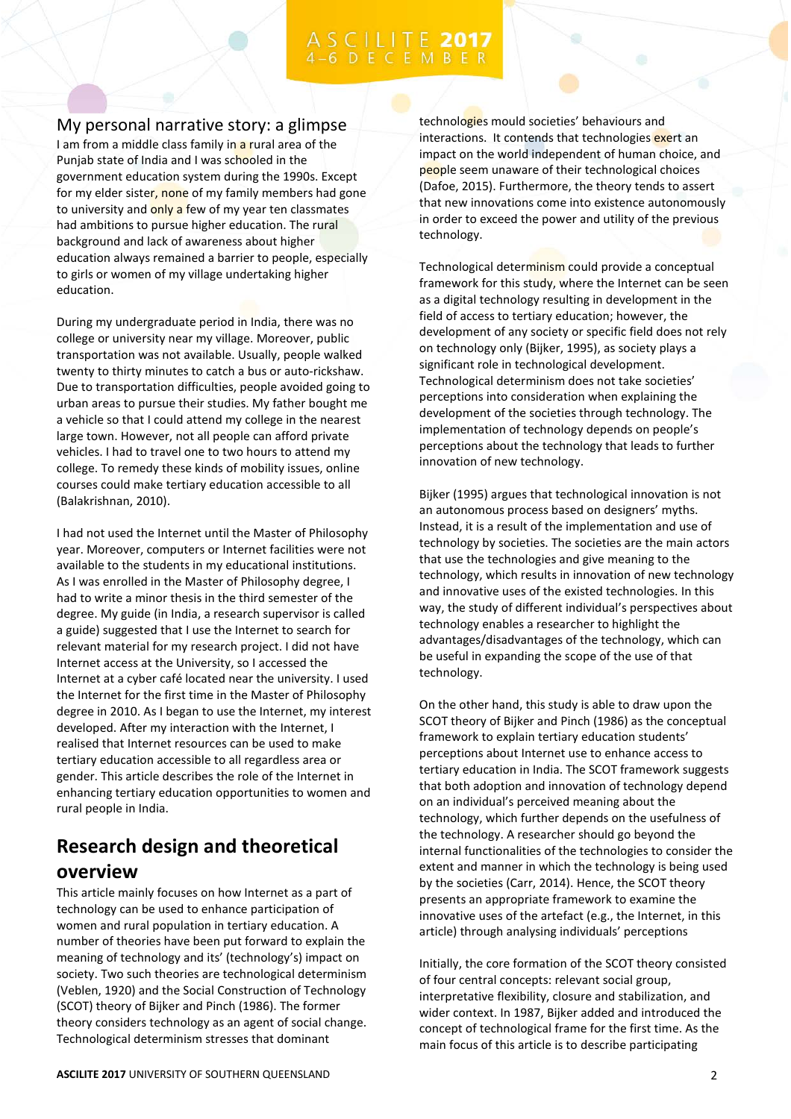# C I L I T E 2017

### My personal narrative story: a glimpse

I am from a middle class family in a rural area of the Punjab state of India and I was schooled in the government education system during the 1990s. Except for my elder sister, none of my family members had gone to university and only a few of my year ten classmates had ambitions to pursue higher education. The rural background and lack of awareness about higher education always remained a barrier to people, especially to girls or women of my village undertaking higher education.

During my undergraduate period in India, there was no college or university near my village. Moreover, public transportation was not available. Usually, people walked twenty to thirty minutes to catch a bus or auto-rickshaw. Due to transportation difficulties, people avoided going to urban areas to pursue their studies. My father bought me a vehicle so that I could attend my college in the nearest large town. However, not all people can afford private vehicles. I had to travel one to two hours to attend my college. To remedy these kinds of mobility issues, online courses could make tertiary education accessible to all (Balakrishnan, 2010).

I had not used the Internet until the Master of Philosophy year. Moreover, computers or Internet facilities were not available to the students in my educational institutions. As I was enrolled in the Master of Philosophy degree, I had to write a minor thesis in the third semester of the degree. My guide (in India, a research supervisor is called a guide) suggested that I use the Internet to search for relevant material for my research project. I did not have Internet access at the University, so I accessed the Internet at a cyber café located near the university. I used the Internet for the first time in the Master of Philosophy degree in 2010. As I began to use the Internet, my interest developed. After my interaction with the Internet, I realised that Internet resources can be used to make tertiary education accessible to all regardless area or gender. This article describes the role of the Internet in enhancing tertiary education opportunities to women and rural people in India.

# **Research design and theoretical overview**

This article mainly focuses on how Internet as a part of technology can be used to enhance participation of women and rural population in tertiary education. A number of theories have been put forward to explain the meaning of technology and its' (technology's) impact on society. Two such theories are technological determinism (Veblen, 1920) and the Social Construction of Technology (SCOT) theory of Bijker and Pinch (1986). The former theory considers technology as an agent of social change. Technological determinism stresses that dominant

technologies mould societies' behaviours and interactions. It contends that technologies exert an impact on the world independent of human choice, and people seem unaware of their technological choices (Dafoe, 2015). Furthermore, the theory tends to assert that new innovations come into existence autonomously in order to exceed the power and utility of the previous technology.

Technological determinism could provide a conceptual framework for this study, where the Internet can be seen as a digital technology resulting in development in the field of access to tertiary education; however, the development of any society or specific field does not rely on technology only (Bijker, 1995), as society plays a significant role in technological development. Technological determinism does not take societies' perceptions into consideration when explaining the development of the societies through technology. The implementation of technology depends on people's perceptions about the technology that leads to further innovation of new technology.

Bijker (1995) argues that technological innovation is not an autonomous process based on designers' myths. Instead, it is a result of the implementation and use of technology by societies. The societies are the main actors that use the technologies and give meaning to the technology, which results in innovation of new technology and innovative uses of the existed technologies. In this way, the study of different individual's perspectives about technology enables a researcher to highlight the advantages/disadvantages of the technology, which can be useful in expanding the scope of the use of that technology.

On the other hand, this study is able to draw upon the SCOT theory of Bijker and Pinch (1986) as the conceptual framework to explain tertiary education students' perceptions about Internet use to enhance access to tertiary education in India. The SCOT framework suggests that both adoption and innovation of technology depend on an individual's perceived meaning about the technology, which further depends on the usefulness of the technology. A researcher should go beyond the internal functionalities of the technologies to consider the extent and manner in which the technology is being used by the societies (Carr, 2014). Hence, the SCOT theory presents an appropriate framework to examine the innovative uses of the artefact (e.g., the Internet, in this article) through analysing individuals' perceptions

Initially, the core formation of the SCOT theory consisted of four central concepts: relevant social group, interpretative flexibility, closure and stabilization, and wider context. In 1987, Bijker added and introduced the concept of technological frame for the first time. As the main focus of this article is to describe participating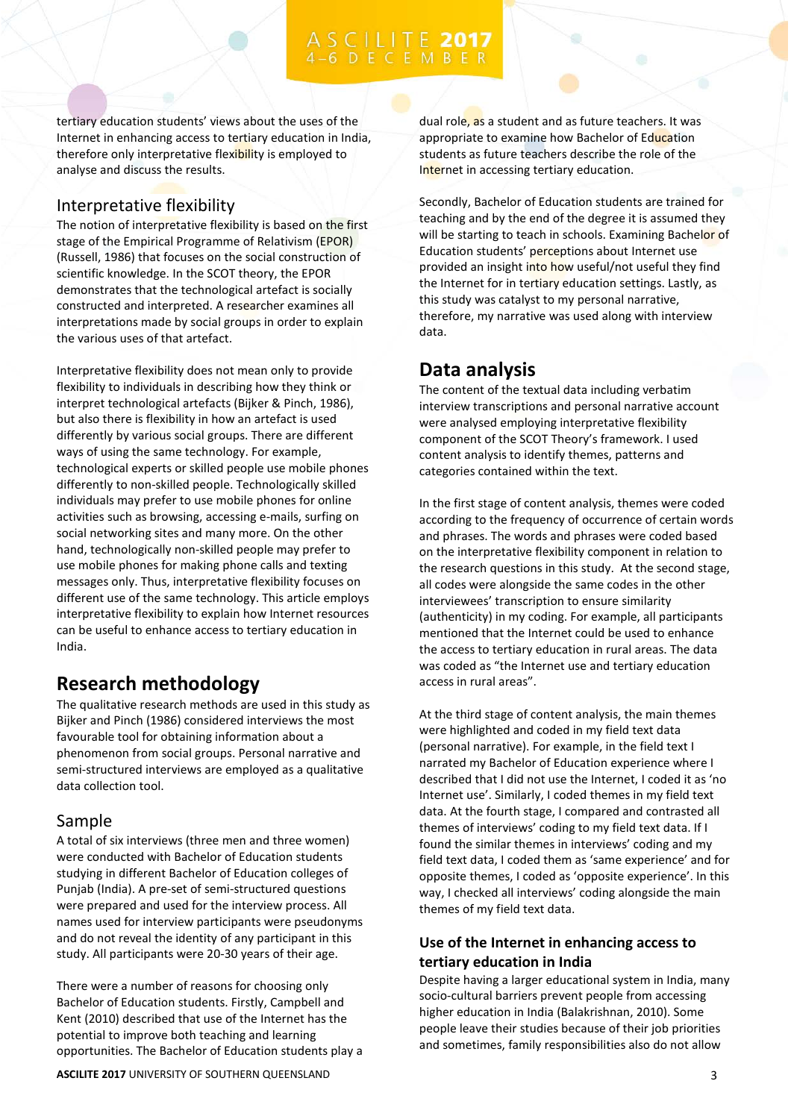tertiary education students' views about the uses of the Internet in enhancing access to tertiary education in India, therefore only interpretative flexibility is employed to analyse and discuss the results.

### Interpretative flexibility

The notion of interpretative flexibility is based on the first stage of the Empirical Programme of Relativism (EPOR) (Russell, 1986) that focuses on the social construction of scientific knowledge. In the SCOT theory, the EPOR demonstrates that the technological artefact is socially constructed and interpreted. A researcher examines all interpretations made by social groups in order to explain the various uses of that artefact.

Interpretative flexibility does not mean only to provide flexibility to individuals in describing how they think or interpret technological artefacts (Bijker & Pinch, 1986), but also there is flexibility in how an artefact is used differently by various social groups. There are different ways of using the same technology. For example, technological experts or skilled people use mobile phones differently to non-skilled people. Technologically skilled individuals may prefer to use mobile phones for online activities such as browsing, accessing e-mails, surfing on social networking sites and many more. On the other hand, technologically non-skilled people may prefer to use mobile phones for making phone calls and texting messages only. Thus, interpretative flexibility focuses on different use of the same technology. This article employs interpretative flexibility to explain how Internet resources can be useful to enhance access to tertiary education in India.

# **Research methodology**

The qualitative research methods are used in this study as Bijker and Pinch (1986) considered interviews the most favourable tool for obtaining information about a phenomenon from social groups. Personal narrative and semi-structured interviews are employed as a qualitative data collection tool.

### Sample

A total of six interviews (three men and three women) were conducted with Bachelor of Education students studying in different Bachelor of Education colleges of Punjab (India). A pre-set of semi-structured questions were prepared and used for the interview process. All names used for interview participants were pseudonyms and do not reveal the identity of any participant in this study. All participants were 20-30 years of their age.

There were a number of reasons for choosing only Bachelor of Education students. Firstly, Campbell and Kent (2010) described that use of the Internet has the potential to improve both teaching and learning opportunities. The Bachelor of Education students play a dual role, as a student and as future teachers. It was appropriate to examine how Bachelor of Education students as future teachers describe the role of the Internet in accessing tertiary education.

Secondly, Bachelor of Education students are trained for teaching and by the end of the degree it is assumed they will be starting to teach in schools. Examining Bachelor of Education students' perceptions about Internet use provided an insight into how useful/not useful they find the Internet for in tertiary education settings. Lastly, as this study was catalyst to my personal narrative, therefore, my narrative was used along with interview data.

## **Data analysis**

The content of the textual data including verbatim interview transcriptions and personal narrative account were analysed employing interpretative flexibility component of the SCOT Theory's framework. I used content analysis to identify themes, patterns and categories contained within the text.

In the first stage of content analysis, themes were coded according to the frequency of occurrence of certain words and phrases. The words and phrases were coded based on the interpretative flexibility component in relation to the research questions in this study. At the second stage, all codes were alongside the same codes in the other interviewees' transcription to ensure similarity (authenticity) in my coding. For example, all participants mentioned that the Internet could be used to enhance the access to tertiary education in rural areas. The data was coded as "the Internet use and tertiary education access in rural areas".

At the third stage of content analysis, the main themes were highlighted and coded in my field text data (personal narrative). For example, in the field text I narrated my Bachelor of Education experience where I described that I did not use the Internet, I coded it as 'no Internet use'. Similarly, I coded themes in my field text data. At the fourth stage, I compared and contrasted all themes of interviews' coding to my field text data. If I found the similar themes in interviews' coding and my field text data, I coded them as 'same experience' and for opposite themes, I coded as 'opposite experience'. In this way, I checked all interviews' coding alongside the main themes of my field text data.

### **Use of the Internet in enhancing access to tertiary education in India**

Despite having a larger educational system in India, many socio-cultural barriers prevent people from accessing higher education in India (Balakrishnan, 2010). Some people leave their studies because of their job priorities and sometimes, family responsibilities also do not allow

**ASCILITE 2017** UNIVERSITY OF SOUTHERN QUEENSLAND **3** 3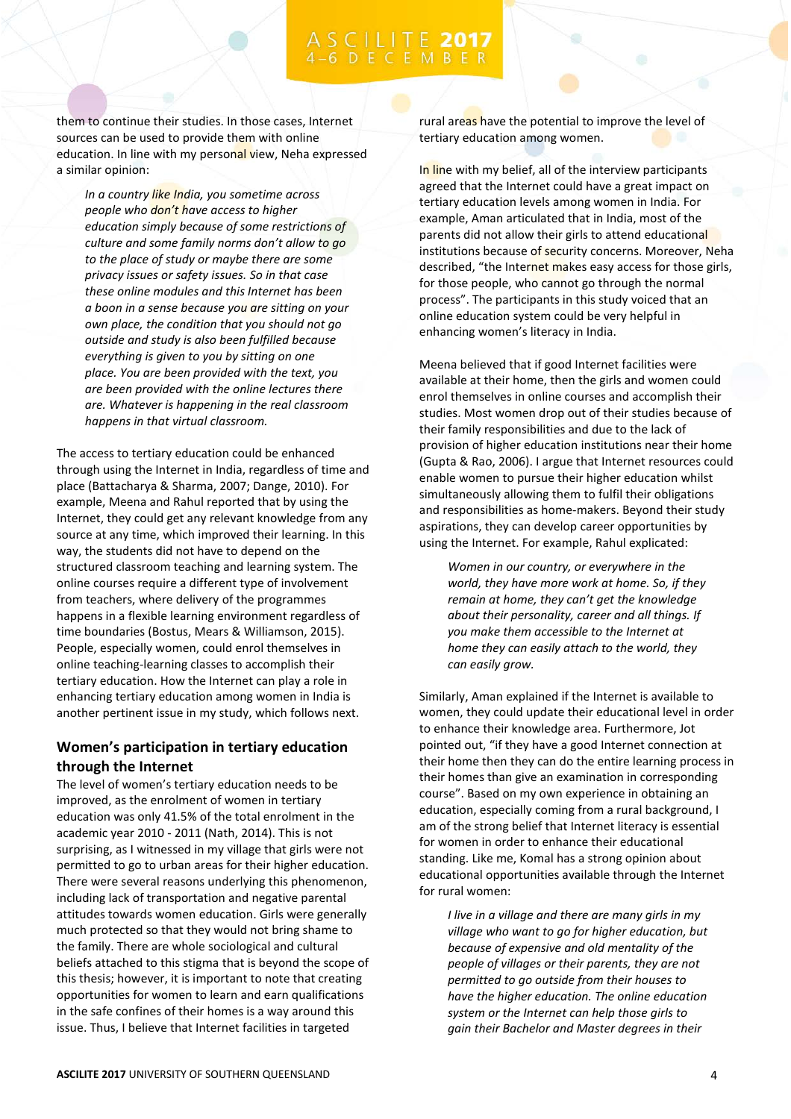them to continue their studies. In those cases, Internet sources can be used to provide them with online education. In line with my personal view, Neha expressed a similar opinion:

*In a country like India, you sometime across people who don't have access to higher education simply because of some restrictions of culture and some family norms don't allow to go to the place of study or maybe there are some privacy issues or safety issues. So in that case these online modules and this Internet has been a boon in a sense because you are sitting on your own place, the condition that you should not go outside and study is also been fulfilled because everything is given to you by sitting on one place. You are been provided with the text, you are been provided with the online lectures there are. Whatever is happening in the real classroom happens in that virtual classroom.* 

The access to tertiary education could be enhanced through using the Internet in India, regardless of time and place (Battacharya & Sharma, 2007; Dange, 2010). For example, Meena and Rahul reported that by using the Internet, they could get any relevant knowledge from any source at any time, which improved their learning. In this way, the students did not have to depend on the structured classroom teaching and learning system. The online courses require a different type of involvement from teachers, where delivery of the programmes happens in a flexible learning environment regardless of time boundaries (Bostus, Mears & Williamson, 2015). People, especially women, could enrol themselves in online teaching-learning classes to accomplish their tertiary education. How the Internet can play a role in enhancing tertiary education among women in India is another pertinent issue in my study, which follows next.

### **Women's participation in tertiary education through the Internet**

The level of women's tertiary education needs to be improved, as the enrolment of women in tertiary education was only 41.5% of the total enrolment in the academic year 2010 - 2011 (Nath, 2014). This is not surprising, as I witnessed in my village that girls were not permitted to go to urban areas for their higher education. There were several reasons underlying this phenomenon, including lack of transportation and negative parental attitudes towards women education. Girls were generally much protected so that they would not bring shame to the family. There are whole sociological and cultural beliefs attached to this stigma that is beyond the scope of this thesis; however, it is important to note that creating opportunities for women to learn and earn qualifications in the safe confines of their homes is a way around this issue. Thus, I believe that Internet facilities in targeted

rural areas have the potential to improve the level of tertiary education among women.

In line with my belief, all of the interview participants agreed that the Internet could have a great impact on tertiary education levels among women in India. For example, Aman articulated that in India, most of the parents did not allow their girls to attend educational institutions because of security concerns. Moreover, Neha described, "the Internet makes easy access for those girls, for those people, who cannot go through the normal process". The participants in this study voiced that an online education system could be very helpful in enhancing women's literacy in India.

Meena believed that if good Internet facilities were available at their home, then the girls and women could enrol themselves in online courses and accomplish their studies. Most women drop out of their studies because of their family responsibilities and due to the lack of provision of higher education institutions near their home (Gupta & Rao, 2006). I argue that Internet resources could enable women to pursue their higher education whilst simultaneously allowing them to fulfil their obligations and responsibilities as home-makers. Beyond their study aspirations, they can develop career opportunities by using the Internet. For example, Rahul explicated:

*Women in our country, or everywhere in the world, they have more work at home. So, if they remain at home, they can't get the knowledge about their personality, career and all things. If you make them accessible to the Internet at home they can easily attach to the world, they can easily grow.* 

Similarly, Aman explained if the Internet is available to women, they could update their educational level in order to enhance their knowledge area. Furthermore, Jot pointed out, "if they have a good Internet connection at their home then they can do the entire learning process in their homes than give an examination in corresponding course". Based on my own experience in obtaining an education, especially coming from a rural background, I am of the strong belief that Internet literacy is essential for women in order to enhance their educational standing. Like me, Komal has a strong opinion about educational opportunities available through the Internet for rural women:

*I live in a village and there are many girls in my village who want to go for higher education, but because of expensive and old mentality of the people of villages or their parents, they are not permitted to go outside from their houses to have the higher education. The online education system or the Internet can help those girls to gain their Bachelor and Master degrees in their*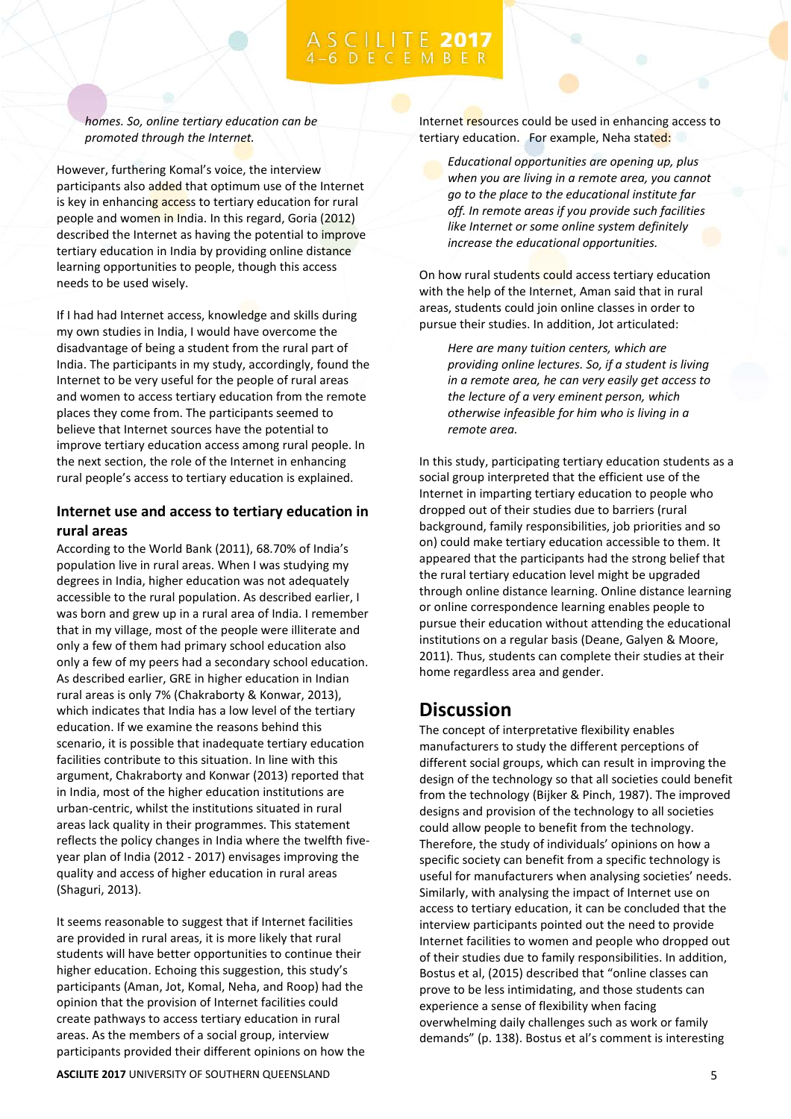*homes. So, online tertiary education can be promoted through the Internet.* 

However, furthering Komal's voice, the interview participants also added that optimum use of the Internet is key in enhancing access to tertiary education for rural people and women in India. In this regard, Goria (2012) described the Internet as having the potential to improve tertiary education in India by providing online distance learning opportunities to people, though this access needs to be used wisely.

If I had had Internet access, knowledge and skills during my own studies in India, I would have overcome the disadvantage of being a student from the rural part of India. The participants in my study, accordingly, found the Internet to be very useful for the people of rural areas and women to access tertiary education from the remote places they come from. The participants seemed to believe that Internet sources have the potential to improve tertiary education access among rural people. In the next section, the role of the Internet in enhancing rural people's access to tertiary education is explained.

### **Internet use and access to tertiary education in rural areas**

According to the World Bank (2011), 68.70% of India's population live in rural areas. When I was studying my degrees in India, higher education was not adequately accessible to the rural population. As described earlier, I was born and grew up in a rural area of India. I remember that in my village, most of the people were illiterate and only a few of them had primary school education also only a few of my peers had a secondary school education. As described earlier, GRE in higher education in Indian rural areas is only 7% (Chakraborty & Konwar, 2013), which indicates that India has a low level of the tertiary education. If we examine the reasons behind this scenario, it is possible that inadequate tertiary education facilities contribute to this situation. In line with this argument, Chakraborty and Konwar (2013) reported that in India, most of the higher education institutions are urban-centric, whilst the institutions situated in rural areas lack quality in their programmes. This statement reflects the policy changes in India where the twelfth fiveyear plan of India (2012 - 2017) envisages improving the quality and access of higher education in rural areas (Shaguri, 2013).

It seems reasonable to suggest that if Internet facilities are provided in rural areas, it is more likely that rural students will have better opportunities to continue their higher education. Echoing this suggestion, this study's participants (Aman, Jot, Komal, Neha, and Roop) had the opinion that the provision of Internet facilities could create pathways to access tertiary education in rural areas. As the members of a social group, interview participants provided their different opinions on how the Internet resources could be used in enhancing access to tertiary education. For example, Neha stated:

*Educational opportunities are opening up, plus when you are living in a remote area, you cannot go to the place to the educational institute far off. In remote areas if you provide such facilities like Internet or some online system definitely increase the educational opportunities.* 

On how rural students could access tertiary education with the help of the Internet, Aman said that in rural areas, students could join online classes in order to pursue their studies. In addition, Jot articulated:

*Here are many tuition centers, which are providing online lectures. So, if a student is living in a remote area, he can very easily get access to the lecture of a very eminent person, which otherwise infeasible for him who is living in a remote area.* 

In this study, participating tertiary education students as a social group interpreted that the efficient use of the Internet in imparting tertiary education to people who dropped out of their studies due to barriers (rural background, family responsibilities, job priorities and so on) could make tertiary education accessible to them. It appeared that the participants had the strong belief that the rural tertiary education level might be upgraded through online distance learning. Online distance learning or online correspondence learning enables people to pursue their education without attending the educational institutions on a regular basis (Deane, Galyen & Moore, 2011). Thus, students can complete their studies at their home regardless area and gender.

# **Discussion**

The concept of interpretative flexibility enables manufacturers to study the different perceptions of different social groups, which can result in improving the design of the technology so that all societies could benefit from the technology (Bijker & Pinch, 1987). The improved designs and provision of the technology to all societies could allow people to benefit from the technology. Therefore, the study of individuals' opinions on how a specific society can benefit from a specific technology is useful for manufacturers when analysing societies' needs. Similarly, with analysing the impact of Internet use on access to tertiary education, it can be concluded that the interview participants pointed out the need to provide Internet facilities to women and people who dropped out of their studies due to family responsibilities. In addition, Bostus et al, (2015) described that "online classes can prove to be less intimidating, and those students can experience a sense of flexibility when facing overwhelming daily challenges such as work or family demands" (p. 138). Bostus et al's comment is interesting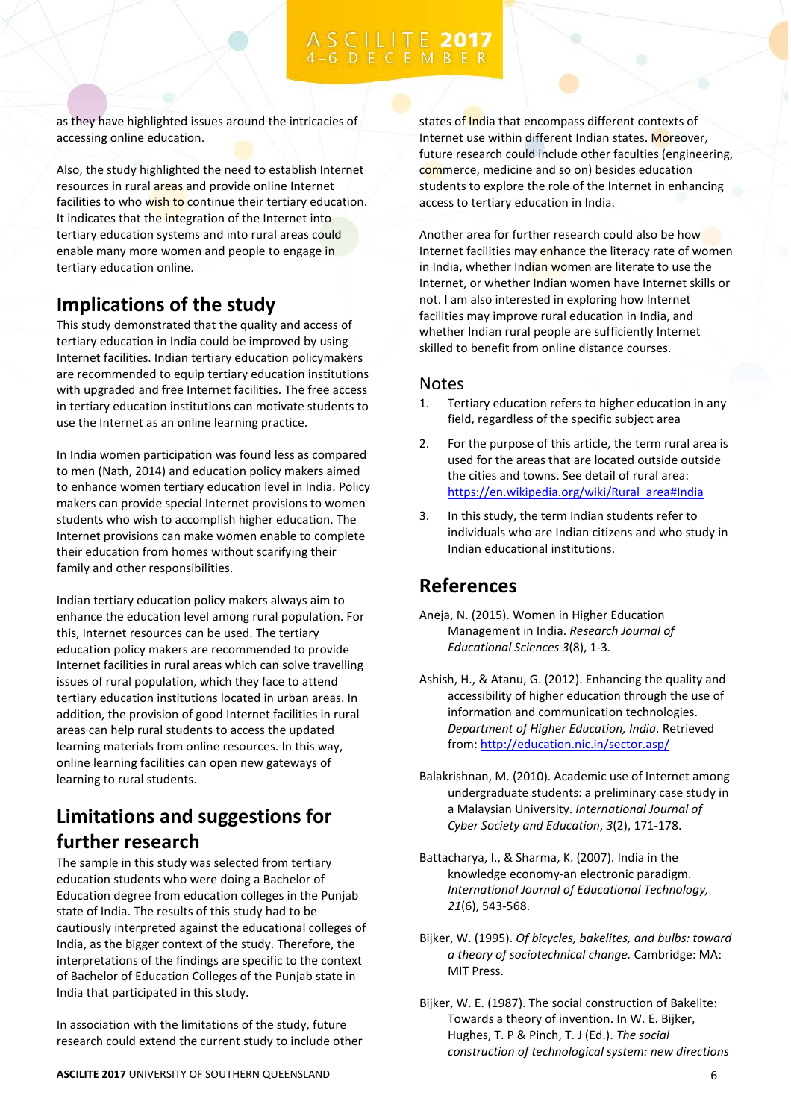# C I L I T E 2017

as they have highlighted issues around the intricacies of accessing online education.

Also, the study highlighted the need to establish Internet resources in rural areas and provide online Internet facilities to who wish to continue their tertiary education. It indicates that the integration of the Internet into tertiary education systems and into rural areas could enable many more women and people to engage in tertiary education online.

# **Implications of the study**

This study demonstrated that the quality and access of tertiary education in India could be improved by using Internet facilities. Indian tertiary education policymakers are recommended to equip tertiary education institutions with upgraded and free Internet facilities. The free access in tertiary education institutions can motivate students to use the Internet as an online learning practice.

In India women participation was found less as compared to men (Nath, 2014) and education policy makers aimed to enhance women tertiary education level in India. Policy makers can provide special Internet provisions to women students who wish to accomplish higher education. The Internet provisions can make women enable to complete their education from homes without scarifying their family and other responsibilities.

Indian tertiary education policy makers always aim to enhance the education level among rural population. For this, Internet resources can be used. The tertiary education policy makers are recommended to provide Internet facilities in rural areas which can solve travelling issues of rural population, which they face to attend tertiary education institutions located in urban areas. In addition, the provision of good Internet facilities in rural areas can help rural students to access the updated learning materials from online resources. In this way, online learning facilities can open new gateways of learning to rural students.

# **Limitations and suggestions for further research**

The sample in this study was selected from tertiary education students who were doing a Bachelor of Education degree from education colleges in the Punjab state of India. The results of this study had to be cautiously interpreted against the educational colleges of India, as the bigger context of the study. Therefore, the interpretations of the findings are specific to the context of Bachelor of Education Colleges of the Punjab state in India that participated in this study.

In association with the limitations of the study, future research could extend the current study to include other states of India that encompass different contexts of Internet use within different Indian states. Moreover, future research could include other faculties (engineering, commerce, medicine and so on) besides education students to explore the role of the Internet in enhancing access to tertiary education in India.

Another area for further research could also be how Internet facilities may enhance the literacy rate of women in India, whether Indian women are literate to use the Internet, or whether Indian women have Internet skills or not. I am also interested in exploring how Internet facilities may improve rural education in India, and whether Indian rural people are sufficiently Internet skilled to benefit from online distance courses.

### Notes

- 1. Tertiary education refers to higher education in any field, regardless of the specific subject area
- 2. For the purpose of this article, the term rural area is used for the areas that are located outside outside the cities and towns. See detail of rural area: [https://en.wikipedia.org/wiki/Rural\\_area#India](https://en.wikipedia.org/wiki/Rural_area#India)
- 3. In this study, the term Indian students refer to individuals who are Indian citizens and who study in Indian educational institutions.

# **References**

- Aneja, N. (2015). Women in Higher Education Management in India. *Research Journal of Educational Sciences 3*(8), 1-3*.*
- Ashish, H., & Atanu, G. (2012). Enhancing the quality and accessibility of higher education through the use of information and communication technologies. *Department of Higher Education, India*. Retrieved from[: http://education.nic.in/sector.asp/](http://education.nic.in/sector.asp/)
- Balakrishnan, M. (2010). Academic use of Internet among undergraduate students: a preliminary case study in a Malaysian University. *International Journal of Cyber Society and Education*, *3*(2), 171-178.
- Battacharya, I., & Sharma, K. (2007). India in the knowledge economy-an electronic paradigm. *International Journal of Educational Technology, 21*(6), 543-568.
- Bijker, W. (1995). *Of bicycles, bakelites, and bulbs: toward a theory of sociotechnical change.* Cambridge: MA: MIT Press.
- Bijker, W. E. (1987). The social construction of Bakelite: Towards a theory of invention. In W. E. Bijker, Hughes, T. P & Pinch, T. J (Ed.). *The social construction of technological system: new directions*